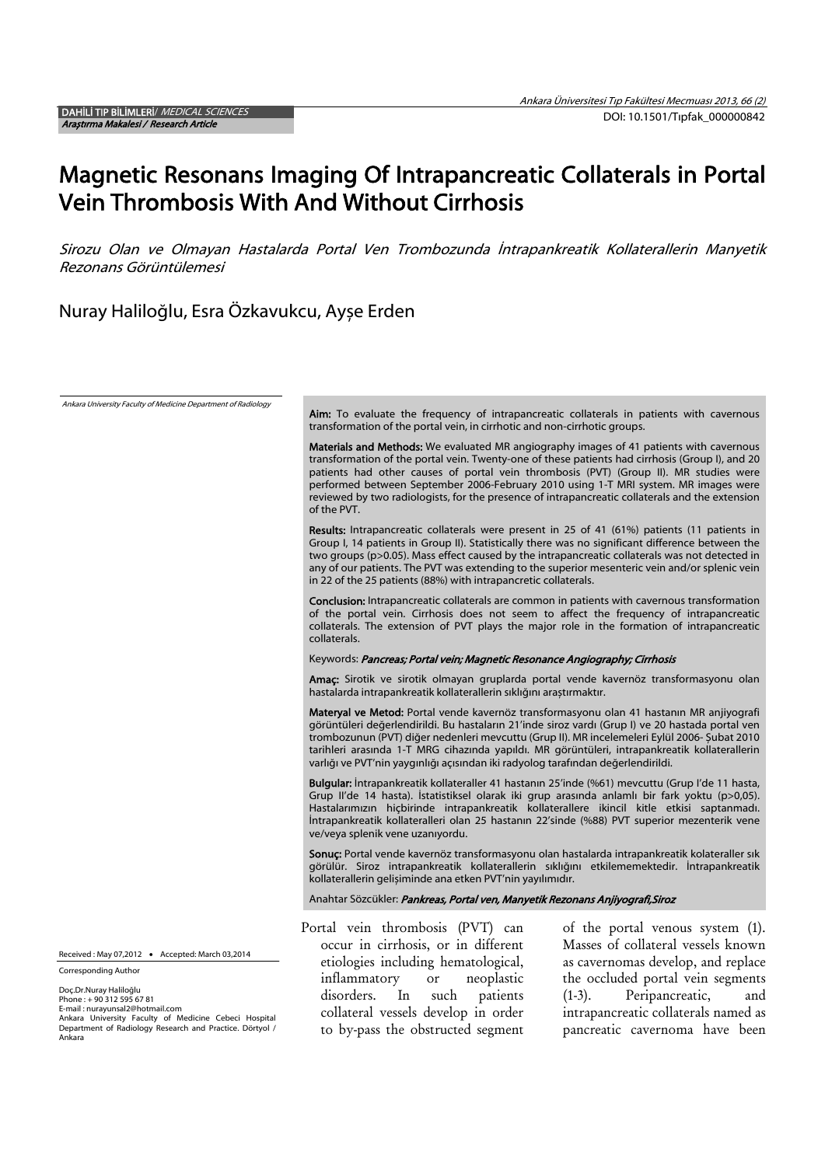Phone : + 90 312 595 67 81 E-mail : nurayunsal2@hotmail.com

Ankara University Faculty of Medicine Cebeci Hospital Department of Radiology Research and Practice. Dörtyol / Ankara (1-3). Peripancreatic, and intrapancreatic collaterals named as pancreatic cavernoma have been

# Magnetic Resonans Imaging Of Intrapancreatic Collaterals in Portal Vein Thrombosis With And Without Cirrhosis

Sirozu Olan ve Olmayan Hastalarda Portal Ven Trombozunda İntrapankreatik Kollaterallerin Manyetik Rezonans Görüntülemesi

Nuray Haliloğlu, Esra Özkavukcu, Ayșe Erden

Ankara University Faculty of Medicine Department of Radiology Aim: To evaluate the frequency of intrapancreatic collaterals in patients with cavernous transformation of the portal vein, in cirrhotic and non-cirrhotic groups. Materials and Methods: We evaluated MR angiography images of 41 patients with cavernous transformation of the portal vein. Twenty-one of these patients had cirrhosis (Group I), and 20 patients had other causes of portal vein thrombosis (PVT) (Group II). MR studies were performed between September 2006-February 2010 using 1-T MRI system. MR images were reviewed by two radiologists, for the presence of intrapancreatic collaterals and the extension of the PVT. Results: Intrapancreatic collaterals were present in 25 of 41 (61%) patients (11 patients in Group I, 14 patients in Group II). Statistically there was no significant difference between the two groups (p>0.05). Mass effect caused by the intrapancreatic collaterals was not detected in any of our patients. The PVT was extending to the superior mesenteric vein and/or splenic vein in 22 of the 25 patients (88%) with intrapancretic collaterals. Conclusion: Intrapancreatic collaterals are common in patients with cavernous transformation of the portal vein. Cirrhosis does not seem to affect the frequency of intrapancreatic collaterals. The extension of PVT plays the major role in the formation of intrapancreatic collaterals. Keywords: Pancreas; Portal vein; Magnetic Resonance Angiography; Cirrhosis Amaç: Sirotik ve sirotik olmayan gruplarda portal vende kavernöz transformasyonu olan hastalarda intrapankreatik kollaterallerin sıklığını araștırmaktır. Materyal ve Metod: Portal vende kavernöz transformasyonu olan 41 hastanın MR anjiyografi görüntüleri değerlendirildi. Bu hastaların 21'inde siroz vardı (Grup I) ve 20 hastada portal ven trombozunun (PVT) diğer nedenleri mevcuttu (Grup II). MR incelemeleri Eylül 2006- Șubat 2010 tarihleri arasında 1-T MRG cihazında yapıldı. MR görüntüleri, intrapankreatik kollaterallerin varlığı ve PVT'nin yaygınlığı açısından iki radyolog tarafından değerlendirildi. Bulgular: İntrapankreatik kollateraller 41 hastanın 25'inde (%61) mevcuttu (Grup I'de 11 hasta, Grup II'de 14 hasta). İstatistiksel olarak iki grup arasında anlamlı bir fark yoktu (p>0,05). Hastalarımızın hiçbirinde intrapankreatik kollaterallere ikincil kitle etkisi saptanmadı. İntrapankreatik kollateralleri olan 25 hastanın 22'sinde (%88) PVT superior mezenterik vene ve/veya splenik vene uzanıyordu. Sonuç: Portal vende kavernöz transformasyonu olan hastalarda intrapankreatik kolateraller sık görülür. Siroz intrapankreatik kollaterallerin sıklığını etkilememektedir. İntrapankreatik kollaterallerin gelișiminde ana etken PVT'nin yayılımıdır. Anahtar Sözcükler: Pankreas, Portal ven, Manyetik Rezonans Anjiyografi, Siroz Portal vein thrombosis (PVT) can occur in cirrhosis, or in different etiologies including hematological, inflammatory or neoplastic of the portal venous system (1). Masses of collateral vessels known as cavernomas develop, and replace the occluded portal vein segments Received : May 07,2012 . Accepted: March 03,2014 Corresponding Author Doç.Dr.Nuray Haliloğlu

disorders. In such patients collateral vessels develop in order to by-pass the obstructed segment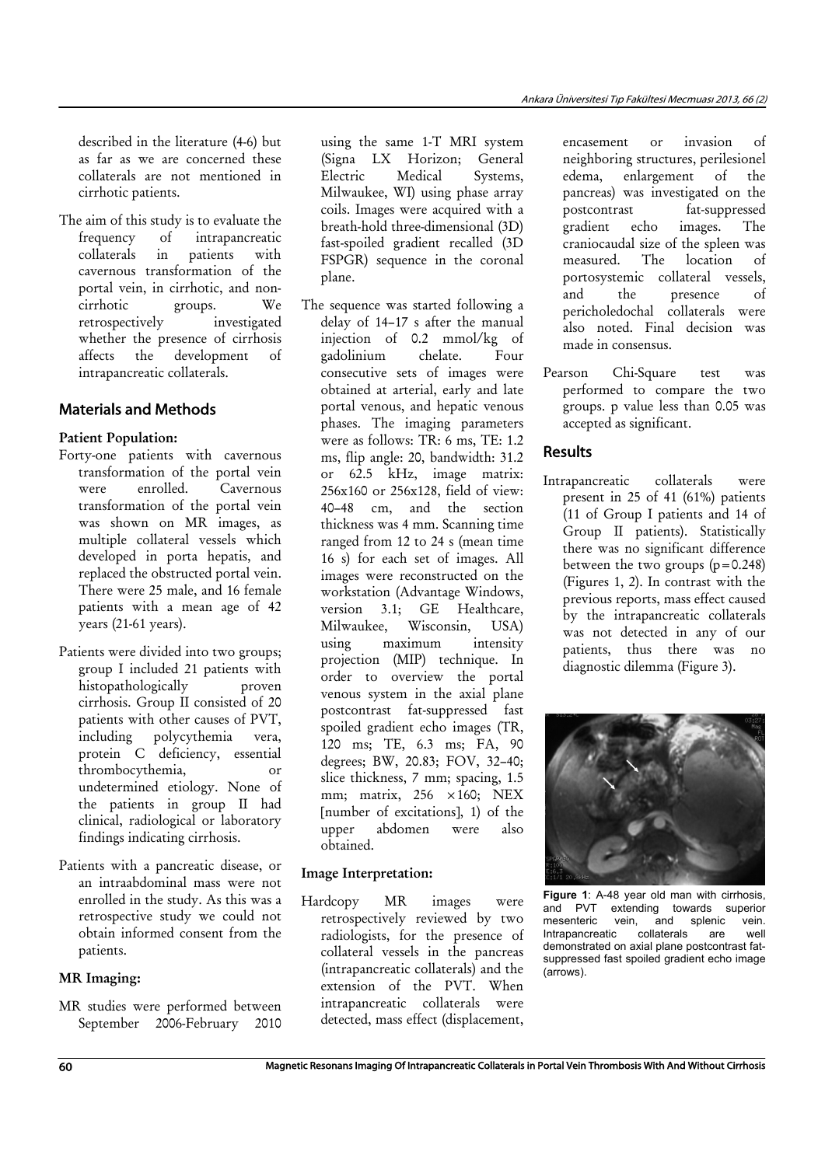described in the literature (4-6) but as far as we are concerned these collaterals are not mentioned in cirrhotic patients.

The aim of this study is to evaluate the frequency of intrapancreatic collaterals in patients with cavernous transformation of the portal vein, in cirrhotic, and noncirrhotic groups. We retrospectively investigated whether the presence of cirrhosis affects the development of intrapancreatic collaterals.

# Materials and Methods

## Patient Population:

- Forty-one patients with cavernous transformation of the portal vein were enrolled. Cavernous transformation of the portal vein was shown on MR images, as multiple collateral vessels which developed in porta hepatis, and replaced the obstructed portal vein. There were 25 male, and 16 female patients with a mean age of 42 years (21-61 years).
- Patients were divided into two groups; group I included 21 patients with histopathologically proven cirrhosis. Group II consisted of 20 patients with other causes of PVT, including polycythemia vera, protein C deficiency, essential thrombocythemia, or undetermined etiology. None of the patients in group II had clinical, radiological or laboratory findings indicating cirrhosis.
- Patients with a pancreatic disease, or an intraabdominal mass were not enrolled in the study. As this was a retrospective study we could not obtain informed consent from the patients.

## MR Imaging:

MR studies were performed between September 2006-February 2010

using the same 1-T MRI system (Signa LX Horizon; General Electric Medical Systems, Milwaukee, WI) using phase array coils. Images were acquired with a breath-hold three-dimensional (3D) fast-spoiled gradient recalled (3D FSPGR) sequence in the coronal plane.

The sequence was started following a delay of 14–17 s after the manual injection of 0.2 mmol/kg of gadolinium chelate. Four consecutive sets of images were obtained at arterial, early and late portal venous, and hepatic venous phases. The imaging parameters were as follows: TR: 6 ms, TE: 1.2 ms, flip angle: 20, bandwidth: 31.2 or 62.5 kHz, image matrix: 256x160 or 256x128, field of view: 40–48 cm, and the section thickness was 4 mm. Scanning time ranged from 12 to 24 s (mean time 16 s) for each set of images. All images were reconstructed on the workstation (Advantage Windows, version 3.1; GE Healthcare, Milwaukee, Wisconsin, USA) using maximum intensity projection (MIP) technique. In order to overview the portal venous system in the axial plane postcontrast fat-suppressed fast spoiled gradient echo images (TR, 120 ms; TE, 6.3 ms; FA, 90 degrees; BW, 20.83; FOV, 32–40; slice thickness, 7 mm; spacing, 1.5 mm; matrix,  $256 \times 160$ ; NEX [number of excitations], 1) of the upper abdomen were also obtained.

#### Image Interpretation:

Hardcopy MR images were retrospectively reviewed by two radiologists, for the presence of collateral vessels in the pancreas (intrapancreatic collaterals) and the extension of the PVT. When intrapancreatic collaterals were detected, mass effect (displacement,

encasement or invasion of neighboring structures, perilesionel edema, enlargement of the pancreas) was investigated on the postcontrast fat-suppressed gradient echo images. The craniocaudal size of the spleen was measured. The location of portosystemic collateral vessels, and the presence of pericholedochal collaterals were also noted. Final decision was made in consensus.

Pearson Chi-Square test was performed to compare the two groups. p value less than 0.05 was accepted as significant.

# Results

Intrapancreatic collaterals were present in 25 of 41 (61%) patients (11 of Group I patients and 14 of Group II patients). Statistically there was no significant difference between the two groups  $(p=0.248)$ (Figures 1, 2). In contrast with the previous reports, mass effect caused by the intrapancreatic collaterals was not detected in any of our patients, thus there was no diagnostic dilemma (Figure 3).



**Figure 1**: A-48 year old man with cirrhosis, **and PVT** extending towards superior<br>mesenteric vein, and splenic vein. vein, and splenic vein.<br>tic collaterals are well  $Intrapancreatic$   $collaterals$  are demonstrated on axial plane postcontrast fatsuppressed fast spoiled gradient echo image (arrows).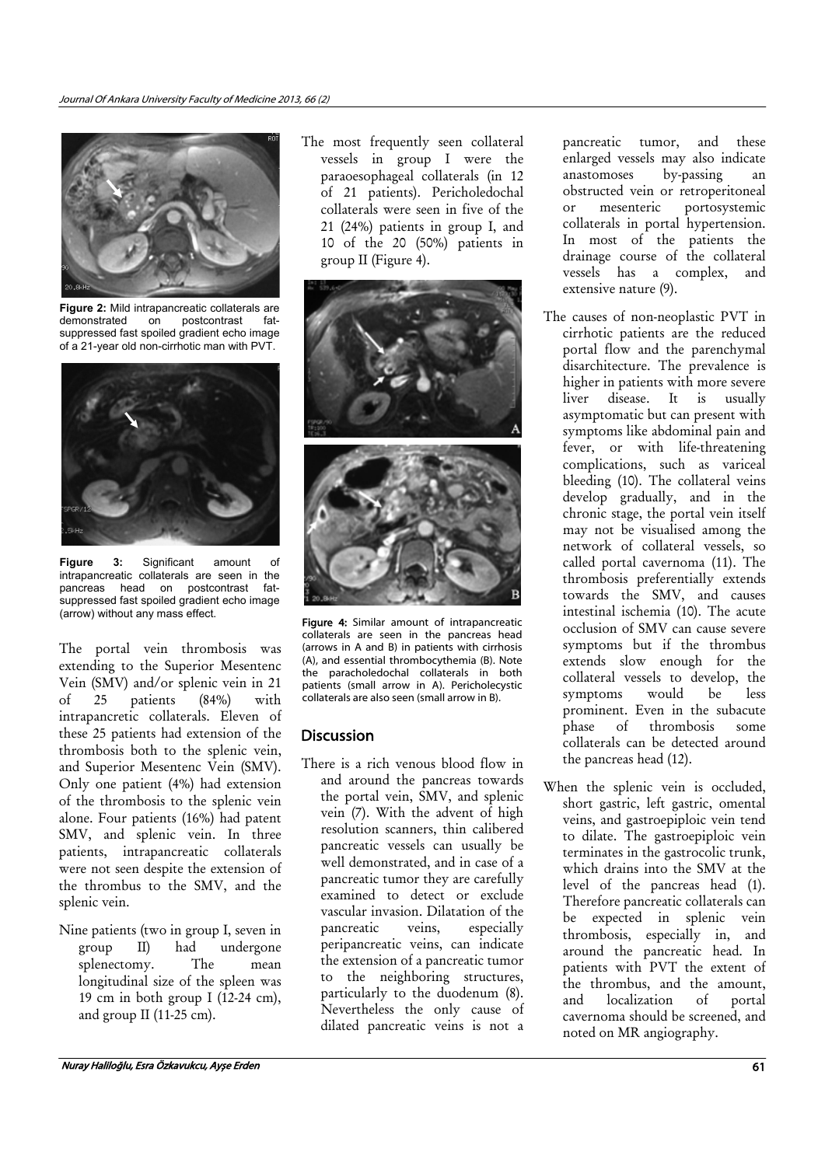

**Figure 2:** Mild intrapancreatic collaterals are demonstrated on postcontrast fatsuppressed fast spoiled gradient echo image of a 21-year old non-cirrhotic man with PVT.



**Figure 3:** Significant amount of intrapancreatic collaterals are seen in the pancreas head on postcontrast fatsuppressed fast spoiled gradient echo image<br>(arrow) without any mass effect.

The portal vein thrombosis was extending to the Superior Mesentenc Vein (SMV) and/or splenic vein in 21 of 25 patients (84%) with intrapancretic collaterals. Eleven of these 25 patients had extension of the thrombosis both to the splenic vein, and Superior Mesentenc Vein (SMV). Only one patient (4%) had extension of the thrombosis to the splenic vein alone. Four patients (16%) had patent SMV, and splenic vein. In three patients, intrapancreatic collaterals were not seen despite the extension of the thrombus to the SMV, and the splenic vein.

Nine patients (two in group I, seven in group II) had undergone splenectomy. The mean longitudinal size of the spleen was 19 cm in both group I (12-24 cm), and group II (11-25 cm).

The most frequently seen collateral vessels in group I were the paraoesophageal collaterals (in 12 of 21 patients). Pericholedochal collaterals were seen in five of the 21 (24%) patients in group I, and 10 of the 20 (50%) patients in group II (Figure 4).



Figure 4: Similar amount of intrapancreatic collaterals are seen in the pancreas head (arrows in A and B) in patients with cirrhosis (A), and essential thrombocythemia (B). Note the paracholedochal collaterals in both patients (small arrow in A). Pericholecystic collaterals are also seen (small arrow in B).

# **Discussion**

There is a rich venous blood flow in and around the pancreas towards the portal vein, SMV, and splenic vein (7). With the advent of high resolution scanners, thin calibered pancreatic vessels can usually be well demonstrated, and in case of a pancreatic tumor they are carefully examined to detect or exclude vascular invasion. Dilatation of the pancreatic veins, especially peripancreatic veins, can indicate the extension of a pancreatic tumor to the neighboring structures, particularly to the duodenum (8). Nevertheless the only cause of dilated pancreatic veins is not a

pancreatic tumor, and these enlarged vessels may also indicate anastomoses by-passing an obstructed vein or retroperitoneal or mesenteric portosystemic collaterals in portal hypertension. In most of the patients the drainage course of the collateral vessels has a complex, and extensive nature (9).

- The causes of non-neoplastic PVT in cirrhotic patients are the reduced portal flow and the parenchymal disarchitecture. The prevalence is higher in patients with more severe liver disease. It is usually asymptomatic but can present with symptoms like abdominal pain and fever, or with life-threatening complications, such as variceal bleeding (10). The collateral veins develop gradually, and in the chronic stage, the portal vein itself may not be visualised among the network of collateral vessels, so called portal cavernoma (11). The thrombosis preferentially extends towards the SMV, and causes intestinal ischemia (10). The acute occlusion of SMV can cause severe symptoms but if the thrombus extends slow enough for the collateral vessels to develop, the symptoms would be less prominent. Even in the subacute phase of thrombosis some collaterals can be detected around the pancreas head (12).
- When the splenic vein is occluded, short gastric, left gastric, omental veins, and gastroepiploic vein tend to dilate. The gastroepiploic vein terminates in the gastrocolic trunk, which drains into the SMV at the level of the pancreas head (1). Therefore pancreatic collaterals can be expected in splenic vein thrombosis, especially in, and around the pancreatic head. In patients with PVT the extent of the thrombus, and the amount, and localization of portal cavernoma should be screened, and noted on MR angiography.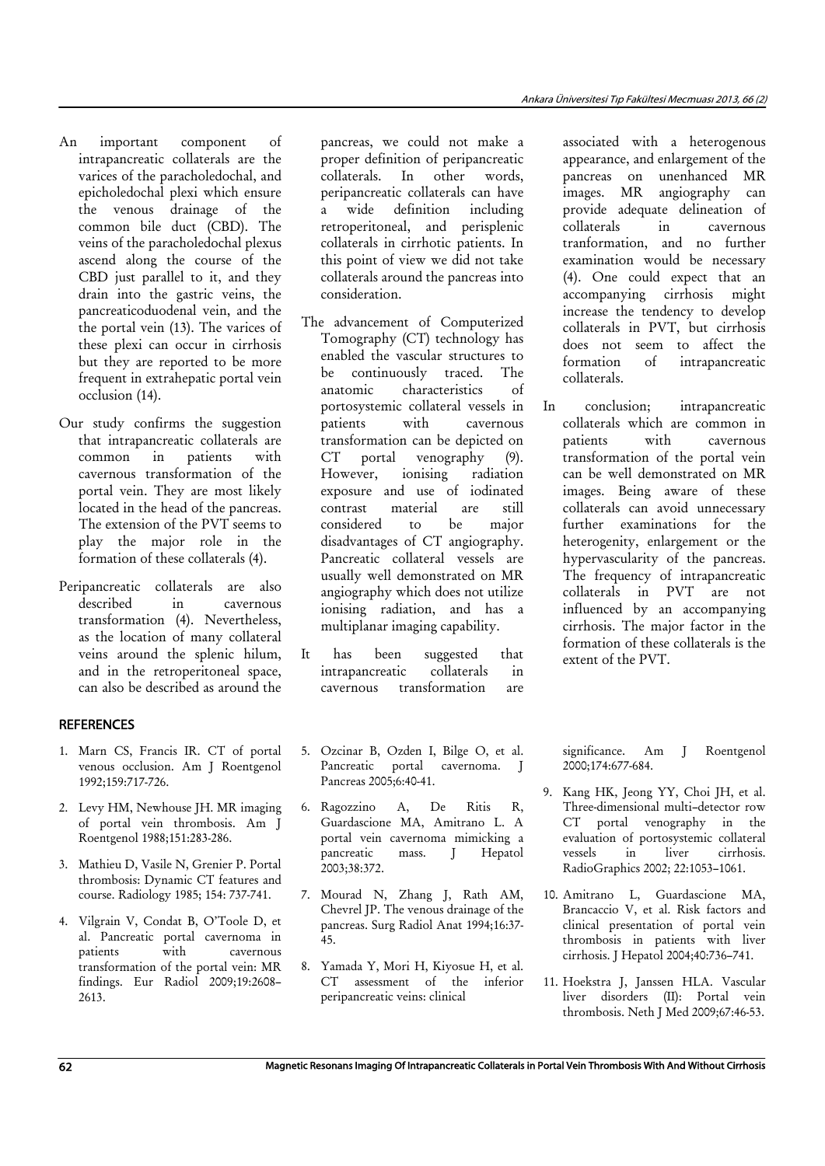- An important component of intrapancreatic collaterals are the varices of the paracholedochal, and epicholedochal plexi which ensure the venous drainage of the common bile duct (CBD). The veins of the paracholedochal plexus ascend along the course of the CBD just parallel to it, and they drain into the gastric veins, the pancreaticoduodenal vein, and the the portal vein (13). The varices of these plexi can occur in cirrhosis but they are reported to be more frequent in extrahepatic portal vein occlusion (14).
- Our study confirms the suggestion that intrapancreatic collaterals are common in patients with cavernous transformation of the portal vein. They are most likely located in the head of the pancreas. The extension of the PVT seems to play the major role in the formation of these collaterals (4).
- Peripancreatic collaterals are also described in cavernous transformation (4). Nevertheless, as the location of many collateral veins around the splenic hilum, and in the retroperitoneal space, can also be described as around the

## **REFERENCES**

- 1. Marn CS, Francis IR. CT of portal venous occlusion. Am J Roentgenol 1992;159:717-726.
- 2. Levy HM, Newhouse JH. MR imaging of portal vein thrombosis. Am J Roentgenol 1988;151:283-286.
- 3. Mathieu D, Vasile N, Grenier P. Portal thrombosis: Dynamic CT features and course. Radiology 1985; 154: 737-741.
- 4. Vilgrain V, Condat B, O'Toole D, et al. Pancreatic portal cavernoma in patients with cavernous transformation of the portal vein: MR findings. Eur Radiol 2009;19:2608– 2613.

pancreas, we could not make a proper definition of peripancreatic collaterals. In other words, peripancreatic collaterals can have a wide definition including retroperitoneal, and perisplenic collaterals in cirrhotic patients. In this point of view we did not take collaterals around the pancreas into consideration.

- The advancement of Computerized Tomography (CT) technology has enabled the vascular structures to be continuously traced. The anatomic characteristics of portosystemic collateral vessels in patients with cavernous transformation can be depicted on CT portal venography (9). However, ionising radiation exposure and use of iodinated contrast material are still considered to be major disadvantages of CT angiography. Pancreatic collateral vessels are usually well demonstrated on MR angiography which does not utilize ionising radiation, and has a multiplanar imaging capability.
- It has been suggested that intrapancreatic collaterals in cavernous transformation are
- 5. Ozcinar B, Ozden I, Bilge O, et al. Pancreatic portal cavernoma. J Pancreas 2005;6:40-41.
- 6. Ragozzino A, De Ritis R, Guardascione MA, Amitrano L. A portal vein cavernoma mimicking a pancreatic mass. J Hepatol 2003;38:372.
- 7. Mourad N, Zhang J, Rath AM, Chevrel JP. The venous drainage of the pancreas. Surg Radiol Anat 1994;16:37- 45.
- 8. Yamada Y, Mori H, Kiyosue H, et al. CT assessment of the inferior peripancreatic veins: clinical

associated with a heterogenous appearance, and enlargement of the pancreas on unenhanced MR images. MR angiography can provide adequate delineation of collaterals in cavernous tranformation, and no further examination would be necessary (4). One could expect that an accompanying cirrhosis might increase the tendency to develop collaterals in PVT, but cirrhosis does not seem to affect the formation of intrapancreatic collaterals.

In conclusion; intrapancreatic collaterals which are common in patients with cavernous transformation of the portal vein can be well demonstrated on MR images. Being aware of these collaterals can avoid unnecessary further examinations for the heterogenity, enlargement or the hypervascularity of the pancreas. The frequency of intrapancreatic collaterals in PVT are not influenced by an accompanying cirrhosis. The major factor in the formation of these collaterals is the extent of the PVT.

significance. Am J Roentgenol 2000;174:677-684.

- 9. Kang HK, Jeong YY, Choi JH, et al. Three-dimensional multi–detector row CT portal venography in the evaluation of portosystemic collateral vessels in liver cirrhosis. RadioGraphics 2002; 22:1053–1061.
- 10. Amitrano L, Guardascione MA, Brancaccio V, et al. Risk factors and clinical presentation of portal vein thrombosis in patients with liver cirrhosis. J Hepatol 2004;40:736–741.
- 11. Hoekstra J, Janssen HLA. Vascular liver disorders (II): Portal vein thrombosis. Neth J Med 2009;67:46-53.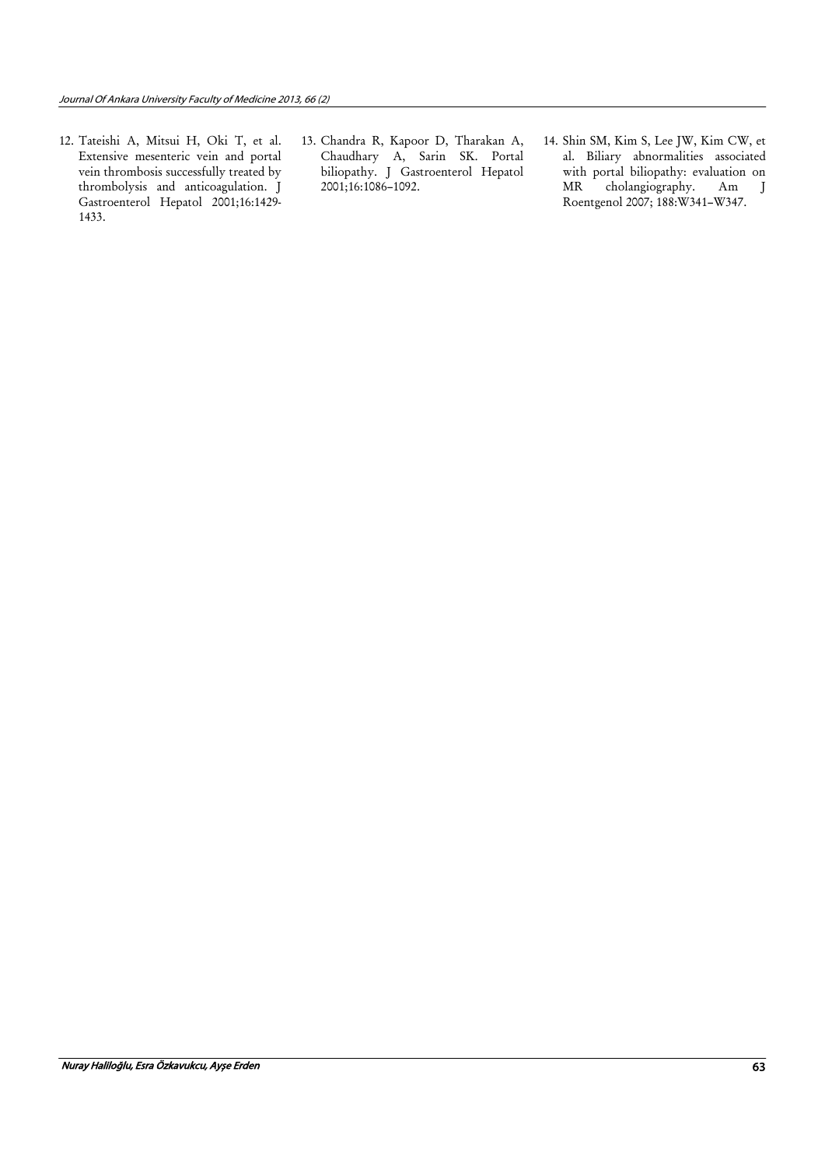- 12. Tateishi A, Mitsui H, Oki T, et al. Extensive mesenteric vein and portal vein thrombosis successfully treated by thrombolysis and anticoagulation. J Gastroenterol Hepatol 2001;16:1429- 1433.
- 13. Chandra R, Kapoor D, Tharakan A, Chaudhary A, Sarin SK. Portal biliopathy. J Gastroenterol Hepatol 2001;16:1086–1092.
- 14. Shin SM, Kim S, Lee JW, Kim CW, et al. Biliary abnormalities associated with portal biliopathy: evaluation on MR cholangiography. Am J Roentgenol 2007; 188:W341–W347.